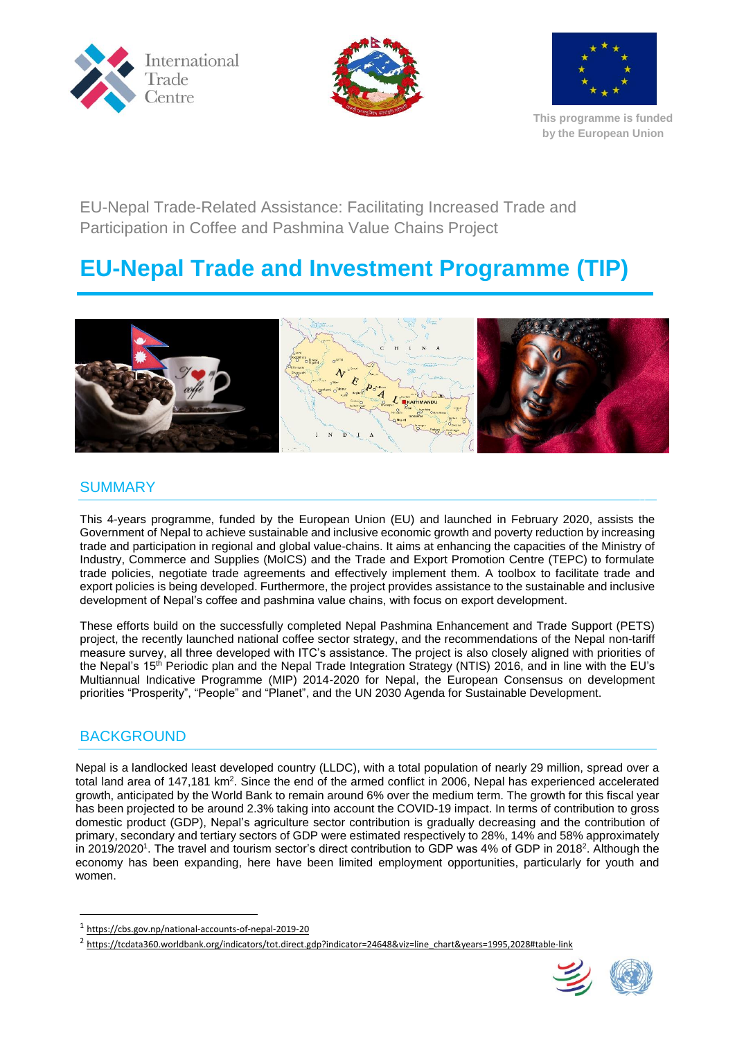





**This programme is funded by the European Union**

EU-Nepal Trade-Related Assistance: Facilitating Increased Trade and Participation in Coffee and Pashmina Value Chains Project

# **EU-Nepal Trade and Investment Programme (TIP)**



## **SUMMARY**

This 4-years programme, funded by the European Union (EU) and launched in February 2020, assists the Government of Nepal to achieve sustainable and inclusive economic growth and poverty reduction by increasing trade and participation in regional and global value-chains. It aims at enhancing the capacities of the Ministry of Industry, Commerce and Supplies (MoICS) and the Trade and Export Promotion Centre (TEPC) to formulate trade policies, negotiate trade agreements and effectively implement them. A toolbox to facilitate trade and export policies is being developed. Furthermore, the project provides assistance to the sustainable and inclusive development of Nepal's coffee and pashmina value chains, with focus on export development.  $\overline{\phantom{a}}$ 

These efforts build on the successfully completed Nepal Pashmina Enhancement and Trade Support (PETS) project, the recently launched national coffee sector strategy, and the recommendations of the Nepal non-tariff measure survey, all three developed with ITC's assistance. The project is also closely aligned with priorities of the Nepal's 15<sup>th</sup> Periodic plan and the Nepal Trade Integration Strategy (NTIS) 2016, and in line with the EU's Multiannual Indicative Programme (MIP) 2014-2020 for Nepal, the European Consensus on development priorities "Prosperity", "People" and "Planet", and the UN 2030 Agenda for Sustainable Development.

## BACKGROUND

1

Nepal is a landlocked least developed country (LLDC), with a total population of nearly 29 million, spread over a total land area of 147,181 km<sup>2</sup>. Since the end of the armed conflict in 2006, Nepal has experienced accelerated growth, anticipated by the World Bank to remain around 6% over the medium term. The growth for this fiscal year has been projected to be around 2.3% taking into account the COVID-19 impact. In terms of contribution to gross domestic product (GDP), Nepal's agriculture sector contribution is gradually decreasing and the contribution of primary, secondary and tertiary sectors of GDP were estimated respectively to 28%, 14% and 58% approximately in 2019/2020<sup>1</sup>. The travel and tourism sector's direct contribution to GDP was 4% of GDP in 2018<sup>2</sup>. Although the economy has been expanding, here have been limited employment opportunities, particularly for youth and women.

<sup>&</sup>lt;sup>2</sup> [https://tcdata360.worldbank.org/indicators/tot.direct.gdp?indicator=24648&viz=line\\_chart&years=1995,2028#table-link](https://tcdata360.worldbank.org/indicators/tot.direct.gdp?indicator=24648&viz=line_chart&years=1995,2028#table-link)



<sup>1</sup> <https://cbs.gov.np/national-accounts-of-nepal-2019-20>